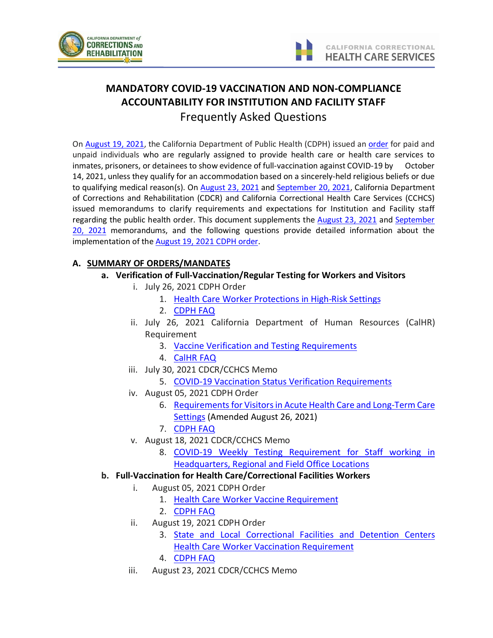



# **MANDATORY COVID-19 VACCINATION AND NON-COMPLIANCE ACCOUNTABILITY FOR INSTITUTION AND FACILITY STAFF** Frequently Asked Questions

On [August 19, 2021,](https://www.cdph.ca.gov/Programs/CID/DCDC/Pages/COVID-19/Order-of-the-State-Public-Health-Officer-Correctional-Facilities-and-Detention-Centers-Health-Care-Worker-Vaccination-Order.aspx) the California Department of Public Health (CDPH) issued an [order](https://www.cdph.ca.gov/Programs/CID/DCDC/Pages/COVID-19/Order-of-the-State-Public-Health-Officer-Correctional-Facilities-and-Detention-Centers-Health-Care-Worker-Vaccination-Order.aspx) for paid and unpaid individuals who are regularly assigned to provide health care or health care services to inmates, prisoners, or detainees to show evidence of full-vaccination against COVID-19 by October 14, 2021, unless they qualify for an accommodation based on a sincerely-held religious beliefs or due to qualifying medical reason(s). On [August 23, 2021](http://lifeline/HealthCareOperations/MedicalServices/PublicHealth/Coronavirus/MandatoryVaccinesTestingInstitutionStaff.pdf) an[d September 20, 2021,](http://lifeline/HealthCareOperations/MedicalServices/PublicHealth/Coronavirus/HCPA-COVID_Vaccine_Memo.pdf) California Department of Corrections and Rehabilitation (CDCR) and California Correctional Health Care Services (CCHCS) issued memorandums to clarify requirements and expectations for Institution and Facility staff regarding the public health order. This document supplements the [August 23, 2021](http://lifeline/HealthCareOperations/MedicalServices/PublicHealth/Coronavirus/MandatoryVaccinesTestingInstitutionStaff.pdf) and September [20, 2021](http://lifeline/HealthCareOperations/MedicalServices/PublicHealth/Coronavirus/HCPA-COVID_Vaccine_Memo.pdf) memorandums, and the following questions provide detailed information about the implementation of the August [19, 2021 CDPH order.](https://www.cdph.ca.gov/Programs/CID/DCDC/Pages/COVID-19/Order-of-the-State-Public-Health-Officer-Correctional-Facilities-and-Detention-Centers-Health-Care-Worker-Vaccination-Order.aspx)

# **A. SUMMARY OF ORDERS/MANDATES**

- **a. Verification of Full-Vaccination/Regular Testing for Workers and Visitors**
	- i. July 26, 2021 CDPH Order
		- 1. [Health Care Worker Protections in High-Risk Settings](https://www.cdph.ca.gov/Programs/CID/DCDC/Pages/COVID-19/Order-of-the-State-Public-Health-Officer-Unvaccinated-Workers-In-High-Risk-Settings.aspx)
		- 2. [CDPH FAQ](https://www.cdph.ca.gov/Programs/CID/DCDC/Pages/COVID-19/Unvaccinated-Workers-in-High-Risk-Settings-State-Public-Health-Order-FAQ.aspx)
	- ii. July 26, 2021 California Department of Human Resources (CalHR) Requirement
		- 3. [Vaccine Verification and Testing Requirements](https://www.calhr.ca.gov/Documents/Vaccine-Verification-and-Testing-Requirements.pdf)
		- 4. [CalHR FAQ](https://www.calhr.ca.gov/Documents/Verification-and-Testing-FAQs.pdf)
	- iii. July 30, 2021 CDCR/CCHCS Memo
		- 5. [COVID-19 Vaccination Status Verification Requirements](http://lifeline/HealthCareOperations/MedicalServices/PublicHealth/Coronavirus/COVID-19-Vaccination-Status-Verification-Requirements.pdf)
	- iv. August 05, 2021 CDPH Order
		- 6. [Requirements for Visitors in Acute Health Care and Long-Term Care](https://www.cdph.ca.gov/Programs/CID/DCDC/Pages/COVID-19/Order-of-the-State-Public-Health-Officer-Requirements-for-Visitors-in-Acute-Health-Care-and-Long-Term-Care-Settings.aspx)  [Settings](https://www.cdph.ca.gov/Programs/CID/DCDC/Pages/COVID-19/Order-of-the-State-Public-Health-Officer-Requirements-for-Visitors-in-Acute-Health-Care-and-Long-Term-Care-Settings.aspx) (Amended August 26, 2021)
		- 7. [CDPH FAQ](https://www.cdph.ca.gov/Programs/CID/DCDC/Pages/COVID-19/Order-of-the-State-Public-Health-Officer-Requirements-for-Visitors-in-Acute-Health-Care-and-Long-Term-Care-Settings-FAQ.aspx)
	- v. August 18, 2021 CDCR/CCHCS Memo
		- 8. [COVID-19 Weekly Testing Requirement for Staff working in](http://lifeline/HealthCareOperations/MedicalServices/PublicHealth/Coronavirus/MEMORANDUMCOVID-19%20WeeklyTestingReqHQ,Regifield08.18.21.pdf)  [Headquarters, Regional and Field Office Locations](http://lifeline/HealthCareOperations/MedicalServices/PublicHealth/Coronavirus/MEMORANDUMCOVID-19%20WeeklyTestingReqHQ,Regifield08.18.21.pdf)

# **b. Full-Vaccination for Health Care/Correctional Facilities Workers**

- i. August 05, 2021 CDPH Order
	- 1. [Health Care Worker Vaccine Requirement](https://www.cdph.ca.gov/Programs/CID/DCDC/Pages/COVID-19/Order-of-the-State-Public-Health-Officer-Health-Care-Worker-Vaccine-Requirement.aspx)
	- 2. [CDPH FAQ](https://www.cdph.ca.gov/Programs/CID/DCDC/Pages/COVID-19/FAQ-Health-Care-Worker-Vaccine-Requirement.aspx)
- ii. August 19, 2021 CDPH Order
	- 3. [State and Local Correctional Facilities and Detention Centers](https://www.cdph.ca.gov/Programs/CID/DCDC/Pages/COVID-19/Order-of-the-State-Public-Health-Officer-Correctional-Facilities-and-Detention-Centers-Health-Care-Worker-Vaccination-Order.aspx)  [Health Care Worker Vaccination Requirement](https://www.cdph.ca.gov/Programs/CID/DCDC/Pages/COVID-19/Order-of-the-State-Public-Health-Officer-Correctional-Facilities-and-Detention-Centers-Health-Care-Worker-Vaccination-Order.aspx)
	- 4. [CDPH FAQ](https://www.cdph.ca.gov/Programs/CID/DCDC/Pages/COVID-19/State-and-Local-Correctional-Facilities-and-Detention-Centers-Health-Care-Worker-Vaccination-Requirement-Order-FAQ.aspx)
- iii. August 23, 2021 CDCR/CCHCS Memo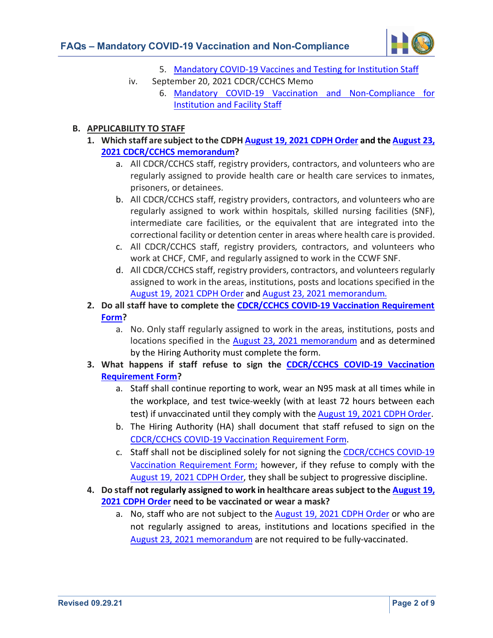

- 5. [Mandatory COVID-19 Vaccines and Testing for Institution Staff](http://lifeline/HealthCareOperations/MedicalServices/PublicHealth/Coronavirus/MandatoryVaccinesTestingInstitutionStaff.pdf)
- iv. September 20, 2021 CDCR/CCHCS Memo
	- 6. [Mandatory COVID-19 Vaccination and Non-Compliance for](http://lifeline/HealthCareOperations/MedicalServices/PublicHealth/Coronavirus/HCPA-COVID_Vaccine_Memo.pdf)  [Institution and Facility Staff](http://lifeline/HealthCareOperations/MedicalServices/PublicHealth/Coronavirus/HCPA-COVID_Vaccine_Memo.pdf)

## **B. APPLICABILITY TO STAFF**

- **1. Which staff are subject to the CDPH [August 19, 2021 CDPH Order](https://www.cdph.ca.gov/Programs/CID/DCDC/Pages/COVID-19/Order-of-the-State-Public-Health-Officer-Correctional-Facilities-and-Detention-Centers-Health-Care-Worker-Vaccination-Order.aspx) and th[e August 23,](http://lifeline/HealthCareOperations/MedicalServices/PublicHealth/Coronavirus/MandatoryVaccinesTestingInstitutionStaff.pdf)  2021 CDCR/CCHCS [memorandum?](http://lifeline/HealthCareOperations/MedicalServices/PublicHealth/Coronavirus/MandatoryVaccinesTestingInstitutionStaff.pdf)**
	- a. All CDCR/CCHCS staff, registry providers, contractors, and volunteers who are regularly assigned to provide health care or health care services to inmates, prisoners, or detainees.
	- b. All CDCR/CCHCS staff, registry providers, contractors, and volunteers who are regularly assigned to work within hospitals, skilled nursing facilities (SNF), intermediate care facilities, or the equivalent that are integrated into the correctional facility or detention center in areas where health care is provided.
	- c. All CDCR/CCHCS staff, registry providers, contractors, and volunteers who work at CHCF, CMF, and regularly assigned to work in the CCWF SNF.
	- d. All CDCR/CCHCS staff, registry providers, contractors, and volunteers regularly assigned to work in the areas, institutions, posts and locations specified in the [August 19, 2021 CDPH Order](https://www.cdph.ca.gov/Programs/CID/DCDC/Pages/COVID-19/Order-of-the-State-Public-Health-Officer-Correctional-Facilities-and-Detention-Centers-Health-Care-Worker-Vaccination-Order.aspx) and [August 23, 2021 memorandum.](http://lifeline/HealthCareOperations/MedicalServices/PublicHealth/Coronavirus/MandatoryVaccinesTestingInstitutionStaff.pdf)
- **2. Do all staff have to complete the [CDCR/CCHCS COVID-19 Vaccination Requirement](http://lifeline/HealthCareOperations/MedicalServices/PublicHealth/Coronavirus/Vaccination_Requirement_Form.pdf)  [Form?](http://lifeline/HealthCareOperations/MedicalServices/PublicHealth/Coronavirus/Vaccination_Requirement_Form.pdf)**
	- a. No. Only staff regularly assigned to work in the areas, institutions, posts and locations specified in the [August 23, 2021 memorandum](http://lifeline/HealthCareOperations/MedicalServices/PublicHealth/Coronavirus/MandatoryVaccinesTestingInstitutionStaff.pdf) and as determined by the Hiring Authority [must complete the form.](http://lifeline/HealthCareOperations/MedicalServices/PublicHealth/Coronavirus/MandatoryVaccinesTestingInstitutionStaff.pdf)
- **3. What happens if staff refuse to sign the [CDCR/CCHCS COVID-19 Vaccination](http://lifeline/HealthCareOperations/MedicalServices/PublicHealth/Coronavirus/Vaccination_Requirement_Form.pdf)  [Requirement Form?](http://lifeline/HealthCareOperations/MedicalServices/PublicHealth/Coronavirus/Vaccination_Requirement_Form.pdf)**
	- a. Staff shall continue reporting to work, wear an N95 mask at all times while in the workplace, and test twice-weekly (with at least 72 hours between each test) if unvaccinated until they comply with the [August 19, 2021 CDPH Order.](https://www.cdph.ca.gov/Programs/CID/DCDC/Pages/COVID-19/Order-of-the-State-Public-Health-Officer-Correctional-Facilities-and-Detention-Centers-Health-Care-Worker-Vaccination-Order.aspx)
	- b. The Hiring Authority (HA) shall document that staff refused to sign on the [CDCR/CCHCS COVID-19 Vaccination Requirement Form.](http://lifeline/HealthCareOperations/MedicalServices/PublicHealth/Coronavirus/Vaccination_Requirement_Form.pdf)
	- c. Staff shall not be disciplined solely for not signing the [CDCR/CCHCS COVID-19](http://lifeline/HealthCareOperations/MedicalServices/PublicHealth/Coronavirus/Vaccination_Requirement_Form.pdf)  [Vaccination Requirement Form;](http://lifeline/HealthCareOperations/MedicalServices/PublicHealth/Coronavirus/Vaccination_Requirement_Form.pdf) however, if they refuse to comply with the [August 19, 2021 CDPH Order,](https://www.cdph.ca.gov/Programs/CID/DCDC/Pages/COVID-19/Order-of-the-State-Public-Health-Officer-Correctional-Facilities-and-Detention-Centers-Health-Care-Worker-Vaccination-Order.aspx) they shall be subject to progressive discipline.
- **4. Do staff not regularly assigned to work in healthcare areas subject to th[e August 19,](https://www.cdph.ca.gov/Programs/CID/DCDC/Pages/COVID-19/Order-of-the-State-Public-Health-Officer-Correctional-Facilities-and-Detention-Centers-Health-Care-Worker-Vaccination-Order.aspx)  [2021 CDPH Order](https://www.cdph.ca.gov/Programs/CID/DCDC/Pages/COVID-19/Order-of-the-State-Public-Health-Officer-Correctional-Facilities-and-Detention-Centers-Health-Care-Worker-Vaccination-Order.aspx) need to be vaccinated or wear a mask?** 
	- a. No, staff who are not subject to the [August 19, 2021 CDPH Order](https://www.cdph.ca.gov/Programs/CID/DCDC/Pages/COVID-19/Order-of-the-State-Public-Health-Officer-Correctional-Facilities-and-Detention-Centers-Health-Care-Worker-Vaccination-Order.aspx) or who are not regularly assigned to areas, institutions and locations specified in the [August 23, 2021 memorandum](http://lifeline/HealthCareOperations/MedicalServices/PublicHealth/Coronavirus/MandatoryVaccinesTestingInstitutionStaff.pdf) are not required to be fully-vaccinated.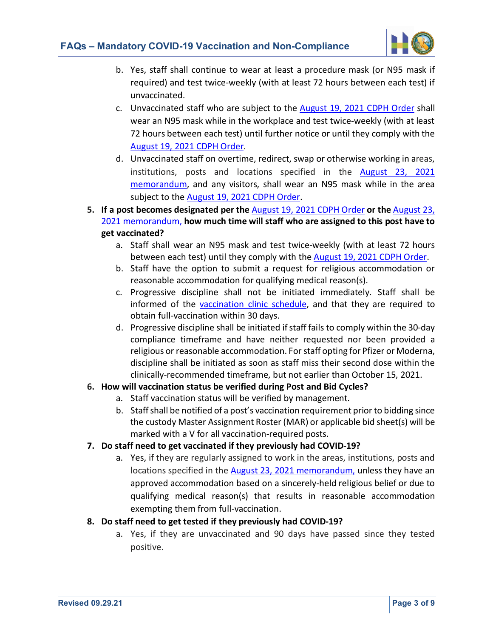

- b. Yes, staff shall continue to wear at least a procedure mask (or N95 mask if required) and test twice-weekly (with at least 72 hours between each test) if unvaccinated.
- c. Unvaccinated staff who are subject to the [August 19, 2021 CDPH Order](https://www.cdph.ca.gov/Programs/CID/DCDC/Pages/COVID-19/Order-of-the-State-Public-Health-Officer-Correctional-Facilities-and-Detention-Centers-Health-Care-Worker-Vaccination-Order.aspx) shall wear an N95 mask while in the workplace and test twice-weekly (with at least 72 hours between each test) until further notice or until they comply with the [August 19, 2021 CDPH Order.](https://www.cdph.ca.gov/Programs/CID/DCDC/Pages/COVID-19/Order-of-the-State-Public-Health-Officer-Correctional-Facilities-and-Detention-Centers-Health-Care-Worker-Vaccination-Order.aspx)
- d. Unvaccinated staff on overtime, redirect, swap or otherwise working in areas, institutions, posts and locations specified in the [August 23,](http://lifeline/HealthCareOperations/MedicalServices/PublicHealth/Coronavirus/MandatoryVaccinesTestingInstitutionStaff.pdf) 2021 [memorandum,](http://lifeline/HealthCareOperations/MedicalServices/PublicHealth/Coronavirus/MandatoryVaccinesTestingInstitutionStaff.pdf) and any visitors, shall wear an N95 mask while in the area subject to the [August 19, 2021 CDPH Order.](https://www.cdph.ca.gov/Programs/CID/DCDC/Pages/COVID-19/Order-of-the-State-Public-Health-Officer-Correctional-Facilities-and-Detention-Centers-Health-Care-Worker-Vaccination-Order.aspx)
- **5. If a post becomes designated per the** [August 19, 2021 CDPH Order](https://www.cdph.ca.gov/Programs/CID/DCDC/Pages/COVID-19/Order-of-the-State-Public-Health-Officer-Correctional-Facilities-and-Detention-Centers-Health-Care-Worker-Vaccination-Order.aspx) **or the** [August 23,](http://lifeline/HealthCareOperations/MedicalServices/PublicHealth/Coronavirus/MandatoryVaccinesTestingInstitutionStaff.pdf)  [2021 memorandum,](http://lifeline/HealthCareOperations/MedicalServices/PublicHealth/Coronavirus/MandatoryVaccinesTestingInstitutionStaff.pdf) **how much time will staff who are assigned to this post have to get vaccinated?**
	- a. Staff shall wear an N95 mask and test twice-weekly (with at least 72 hours between each test) until they comply with th[e August 19, 2021 CDPH Order.](https://www.cdph.ca.gov/Programs/CID/DCDC/Pages/COVID-19/Order-of-the-State-Public-Health-Officer-Correctional-Facilities-and-Detention-Centers-Health-Care-Worker-Vaccination-Order.aspx)
	- b. Staff have the option to submit a request for religious accommodation or reasonable accommodation for qualifying medical reason(s).
	- c. Progressive discipline shall not be initiated immediately. Staff shall be informed of the [vaccination clinic schedule,](http://lifeline/HealthCareOperations/Documents/Schedule.pdf) and that they are required to obtain full-vaccination within 30 days.
	- d. Progressive discipline shall be initiated if staff fails to comply within the 30-day compliance timeframe and have neither requested nor been provided a religious or reasonable accommodation. For staff opting for Pfizer or Moderna, discipline shall be initiated as soon as staff miss their second dose within the clinically-recommended timeframe, but not earlier than October 15, 2021.

# **6. How will vaccination status be verified during Post and Bid Cycles?**

- a. Staff vaccination status will be verified by management.
- b. Staff shall be notified of a post's vaccination requirement prior to bidding since the custody Master Assignment Roster (MAR) or applicable bid sheet(s) will be marked with a V for all vaccination-required posts.

# **7. Do staff need to get vaccinated if they previously had COVID-19?**

a. Yes, if they are regularly assigned to work in the areas, institutions, posts and locations specified in the [August 23, 2021 memorandum,](http://lifeline/HealthCareOperations/MedicalServices/PublicHealth/Coronavirus/MandatoryVaccinesTestingInstitutionStaff.pdf) unless they have an approved accommodation based on a sincerely-held religious belief or due to qualifying medical reason(s) that results in reasonable accommodation exempting them from full-vaccination.

# **8. Do staff need to get tested if they previously had COVID-19?**

a. Yes, if they are unvaccinated and 90 days have passed since they tested positive.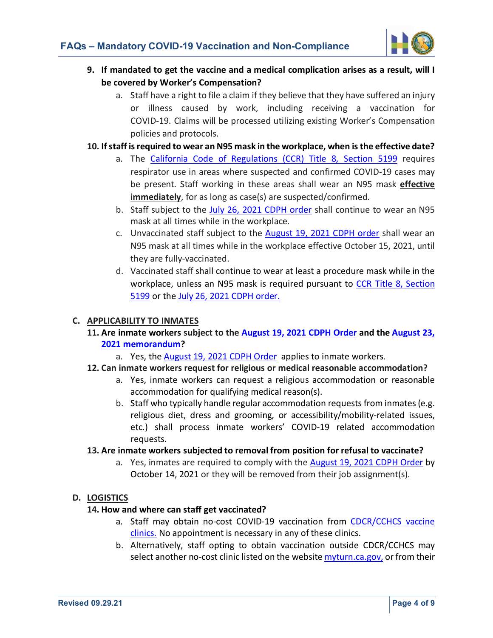

- **9. If mandated to get the vaccine and a medical complication arises as a result, will I be covered by Worker's Compensation?**
	- a. Staff have a right to file a claim if they believe that they have suffered an injury or illness caused by work, including receiving a vaccination for COVID-19. Claims will be processed utilizing existing Worker's Compensation policies and protocols.
- **10. If staff is required to wear an N95 mask in the workplace, when is the effective date?**
	- a. The [California Code of Regulations \(CCR\) Title 8, Section 5199](https://www.dir.ca.gov/title8/5199.html) requires respirator use in areas where suspected and confirmed COVID-19 cases may be present. Staff working in these areas shall wear an N95 mask **effective immediately**, for as long as case(s) are suspected/confirmed.
	- b. Staff subject to the [July 26, 2021 CDPH order](https://www.cdph.ca.gov/Programs/CID/DCDC/Pages/COVID-19/Order-of-the-State-Public-Health-Officer-Unvaccinated-Workers-In-High-Risk-Settings.aspx) shall continue to wear an N95 mask at all times while in the workplace.
	- c. Unvaccinated staff subject to the [August 19, 2021 CDPH order](https://www.cdph.ca.gov/Programs/CID/DCDC/Pages/COVID-19/Order-of-the-State-Public-Health-Officer-Correctional-Facilities-and-Detention-Centers-Health-Care-Worker-Vaccination-Order.aspx) shall wear an N95 mask at all times while in the workplace effective October 15, 2021, until they are fully-vaccinated.
	- d. Vaccinated staff shall continue to wear at least a procedure mask while in the workplace, unless an N95 mask is required pursuant to [CCR Title 8, Section](https://www.dir.ca.gov/title8/5199.html)  [5199](https://www.dir.ca.gov/title8/5199.html) or the [July 26, 2021 CDPH order.](https://www.cdph.ca.gov/Programs/CID/DCDC/Pages/COVID-19/Order-of-the-State-Public-Health-Officer-Unvaccinated-Workers-In-High-Risk-Settings.aspx)

#### **C. APPLICABILITY TO INMATES**

**11. Are inmate workers subject to the [August 19, 2021 CDPH Order](https://www.cdph.ca.gov/Programs/CID/DCDC/Pages/COVID-19/Order-of-the-State-Public-Health-Officer-Correctional-Facilities-and-Detention-Centers-Health-Care-Worker-Vaccination-Order.aspx) and the [August 23,](http://lifeline/HealthCareOperations/MedicalServices/PublicHealth/Coronavirus/MandatoryVaccinesTestingInstitutionStaff.pdf)  [2021 memorandum?](http://lifeline/HealthCareOperations/MedicalServices/PublicHealth/Coronavirus/MandatoryVaccinesTestingInstitutionStaff.pdf)** 

a. Yes, th[e August 19, 2021 CDPH Order](https://www.cdph.ca.gov/Programs/CID/DCDC/Pages/COVID-19/Order-of-the-State-Public-Health-Officer-Correctional-Facilities-and-Detention-Centers-Health-Care-Worker-Vaccination-Order.aspx) applies to inmate workers.

- **12. Can inmate workers request for religious or medical reasonable accommodation?**
	- a. Yes, inmate workers can request a religious accommodation or reasonable accommodation for qualifying medical reason(s).
	- b. Staff who typically handle regular accommodation requests from inmates (e.g. religious diet, dress and grooming, or accessibility/mobility-related issues, etc.) shall process inmate workers' COVID-19 related accommodation requests.

#### **13. Are inmate workers subjected to removal from position for refusal to vaccinate?**

a. Yes, inmates are required to comply with th[e August 19, 2021 CDPH Order](https://www.cdph.ca.gov/Programs/CID/DCDC/Pages/COVID-19/Order-of-the-State-Public-Health-Officer-Correctional-Facilities-and-Detention-Centers-Health-Care-Worker-Vaccination-Order.aspx) by October 14, 2021 or they will be removed from their job assignment(s).

#### **D. LOGISTICS**

#### **14. How and where can staff get vaccinated?**

- a. Staff may obtain no-cost COVID-19 vaccination from [CDCR/CCHCS vaccine](http://lifeline/HealthCareOperations/Documents/Schedule.pdf)  [clinics.](http://lifeline/HealthCareOperations/Documents/Schedule.pdf) No appointment is necessary in any of these clinics.
- b. Alternatively, staff opting to obtain vaccination outside CDCR/CCHCS may select another no-cost clinic listed on the websit[e myturn.ca.gov,](https://myturn.ca.gov/) or from their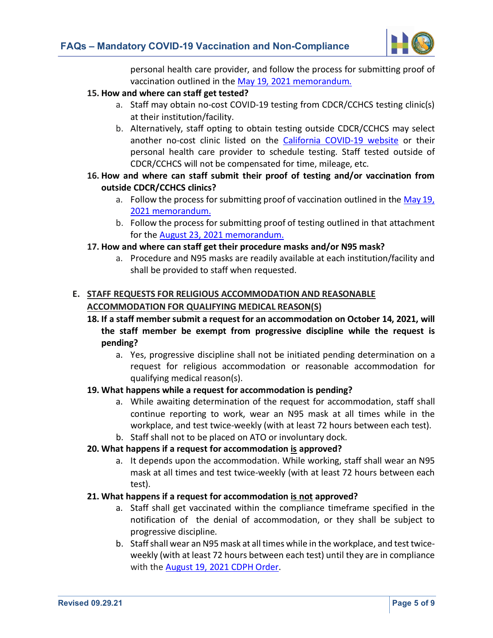

personal health care provider, and follow the process for submitting proof of vaccination outlined in th[e May 19, 2021 memorandum.](http://lifeline/HealthCareOperations/MedicalServices/PublicHealth/Coronavirus/SubmissionCOVID-19VacRecordCardMemo.pdf)

# **15. How and where can staff get tested?**

- a. Staff may obtain no-cost COVID-19 testing from CDCR/CCHCS testing clinic(s) at their institution/facility.
- b. Alternatively, staff opting to obtain testing outside CDCR/CCHCS may select another no-cost clinic listed on the [California COVID-19 website](https://covid19.ca.gov/get-tested/#how-to-get-tested) or their personal health care provider to schedule testing. Staff tested outside of CDCR/CCHCS will not be compensated for time, mileage, etc.
- **16. How and where can staff submit their proof of testing and/or vaccination from outside CDCR/CCHCS clinics?**
	- a. Follow the process for submitting proof of vaccination outlined in the [May 19,](http://lifeline/HealthCareOperations/MedicalServices/PublicHealth/Coronavirus/SubmissionCOVID-19VacRecordCardMemo.pdf)  [2021 memorandum.](http://lifeline/HealthCareOperations/MedicalServices/PublicHealth/Coronavirus/SubmissionCOVID-19VacRecordCardMemo.pdf)
	- b. Follow the process for submitting proof of testing outlined in that attachment for the [August 23, 2021 memorandum.](http://lifeline/HealthCareOperations/MedicalServices/PublicHealth/Coronavirus/MandatoryVaccinesTestingInstitutionStaff.pdf)

# **17. How and where can staff get their procedure masks and/or N95 mask?**

a. Procedure and N95 masks are readily available at each institution/facility and shall be provided to staff when requested.

# **E. STAFF REQUESTS FOR RELIGIOUS ACCOMMODATION AND REASONABLE ACCOMMODATION FOR QUALIFYING MEDICAL REASON(S)**

- **18. If a staff member submit a request for an accommodation on October 14, 2021, will the staff member be exempt from progressive discipline while the request is pending?**
	- a. Yes, progressive discipline shall not be initiated pending determination on a request for religious accommodation or reasonable accommodation for qualifying medical reason(s).

# **19. What happens while a request for accommodation is pending?**

a. While awaiting determination of the request for accommodation, staff shall continue reporting to work, wear an N95 mask at all times while in the workplace, and test twice-weekly (with at least 72 hours between each test).

#### b. Staff shall not to be placed on ATO or involuntary dock. **20. What happens if a request for accommodation is approved?**

a. It depends upon the accommodation. While working, staff shall wear an N95 mask at all times and test twice-weekly (with at least 72 hours between each test).

# **21. What happens if a request for accommodation is not approved?**

- a. Staff shall get vaccinated within the compliance timeframe specified in the notification of the denial of accommodation, or they shall be subject to progressive discipline.
- b. Staff shall wear an N95 mask at all times while in the workplace, and test twiceweekly (with at least 72 hours between each test) until they are in compliance with the [August 19, 2021 CDPH Order.](https://www.cdph.ca.gov/Programs/CID/DCDC/Pages/COVID-19/Order-of-the-State-Public-Health-Officer-Correctional-Facilities-and-Detention-Centers-Health-Care-Worker-Vaccination-Order.aspx)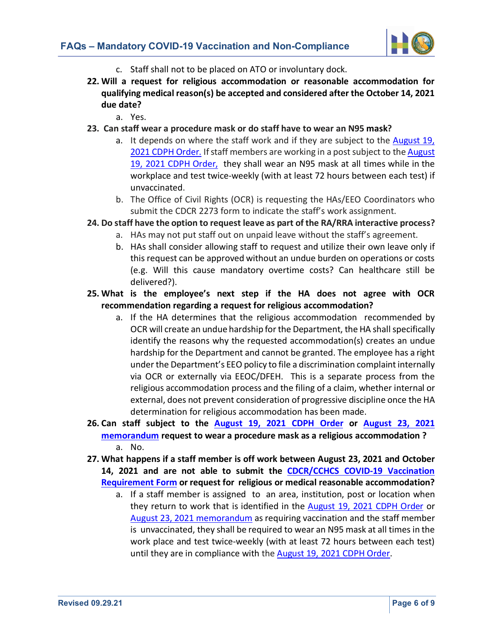

- c. Staff shall not to be placed on ATO or involuntary dock.
- **22. Will a request for religious accommodation or reasonable accommodation for qualifying medical reason(s) be accepted and considered after the October 14, 2021 due date?**
	- a. Yes.
- **23. Can staff wear a procedure mask or do staff have to wear an N95 mask?**
	- a. It depends on where the staff work and if they are subject to the [August 19,](https://www.cdph.ca.gov/Programs/CID/DCDC/Pages/COVID-19/Order-of-the-State-Public-Health-Officer-Correctional-Facilities-and-Detention-Centers-Health-Care-Worker-Vaccination-Order.aspx)  [2021 CDPH Order.](https://www.cdph.ca.gov/Programs/CID/DCDC/Pages/COVID-19/Order-of-the-State-Public-Health-Officer-Correctional-Facilities-and-Detention-Centers-Health-Care-Worker-Vaccination-Order.aspx) If staff members are working in a post subject to th[e August](https://www.cdph.ca.gov/Programs/CID/DCDC/Pages/COVID-19/Order-of-the-State-Public-Health-Officer-Correctional-Facilities-and-Detention-Centers-Health-Care-Worker-Vaccination-Order.aspx)  [19, 2021 CDPH Order,](https://www.cdph.ca.gov/Programs/CID/DCDC/Pages/COVID-19/Order-of-the-State-Public-Health-Officer-Correctional-Facilities-and-Detention-Centers-Health-Care-Worker-Vaccination-Order.aspx) they shall wear an N95 mask at all times while in the workplace and test twice-weekly (with at least 72 hours between each test) if unvaccinated.
	- b. The Office of Civil Rights (OCR) is requesting the HAs/EEO Coordinators who submit the CDCR 2273 form to indicate the staff's work assignment.

# **24. Do staff have the option to request leave as part of the RA/RRA interactive process?**

- a. HAs may not put staff out on unpaid leave without the staff's agreement.
- b. HAs shall consider allowing staff to request and utilize their own leave only if this request can be approved without an undue burden on operations or costs (e.g. Will this cause mandatory overtime costs? Can healthcare still be delivered?).
- **25. What is the employee's next step if the HA does not agree with OCR recommendation regarding a request for religious accommodation?**
	- a. If the HA determines that the religious accommodation recommended by OCR will create an undue hardship for the Department, the HA shall specifically identify the reasons why the requested accommodation(s) creates an undue hardship for the Department and cannot be granted. The employee has a right under the Department's EEO policy to file a discrimination complaint internally via OCR or externally via EEOC/DFEH. This is a separate process from the religious accommodation process and the filing of a claim, whether internal or external, does not prevent consideration of progressive discipline once the HA determination for religious accommodation has been made.
- **26. Can staff subject to the [August 19, 2021 CDPH Order](https://www.cdph.ca.gov/Programs/CID/DCDC/Pages/COVID-19/Order-of-the-State-Public-Health-Officer-Correctional-Facilities-and-Detention-Centers-Health-Care-Worker-Vaccination-Order.aspx) or [August 23, 2021](http://lifeline/HealthCareOperations/MedicalServices/PublicHealth/Coronavirus/MandatoryVaccinesTestingInstitutionStaff.pdf)  [memorandum](http://lifeline/HealthCareOperations/MedicalServices/PublicHealth/Coronavirus/MandatoryVaccinesTestingInstitutionStaff.pdf) request to wear a procedure mask as a religious accommodation ?** a. No.
- **27. What happens if a staff member is off work between August 23, 2021 and October 14, 2021 and are not able to submit the [CDCR/CCHCS COVID-19 Vaccination](http://lifeline/HealthCareOperations/MedicalServices/PublicHealth/Coronavirus/Vaccination_Requirement_Form.pdf)  [Requirement Form](http://lifeline/HealthCareOperations/MedicalServices/PublicHealth/Coronavirus/Vaccination_Requirement_Form.pdf) or request for religious or medical reasonable accommodation?**
	- a. If a staff member is assigned to an area, institution, post or location when they return to work that is identified in the [August 19, 2021 CDPH Order](https://www.cdph.ca.gov/Programs/CID/DCDC/Pages/COVID-19/Order-of-the-State-Public-Health-Officer-Correctional-Facilities-and-Detention-Centers-Health-Care-Worker-Vaccination-Order.aspx) or [August 23, 2021 memorandum](http://lifeline/HealthCareOperations/MedicalServices/PublicHealth/Coronavirus/MandatoryVaccinesTestingInstitutionStaff.pdf) as requiring vaccination and the staff member is unvaccinated, they shall be required to wear an N95 mask at all times in the work place and test twice-weekly (with at least 72 hours between each test) until they are in compliance with th[e August 19, 2021 CDPH Order.](https://www.cdph.ca.gov/Programs/CID/DCDC/Pages/COVID-19/Order-of-the-State-Public-Health-Officer-Correctional-Facilities-and-Detention-Centers-Health-Care-Worker-Vaccination-Order.aspx)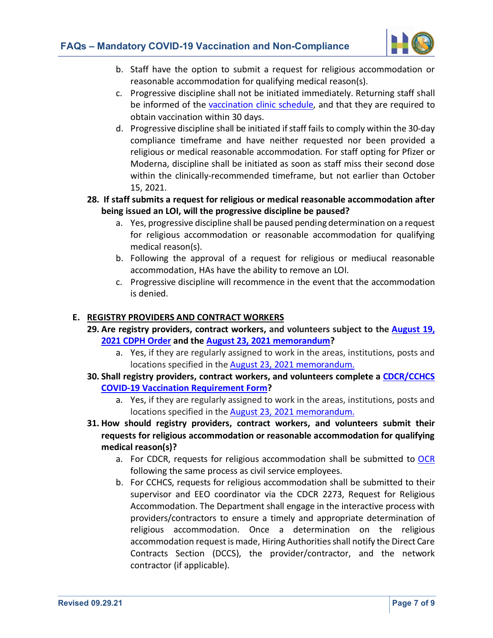

- b. Staff have the option to submit a request for religious accommodation or reasonable accommodation for qualifying medical reason(s).
- c. Progressive discipline shall not be initiated immediately. Returning staff shall be informed of the [vaccination clinic schedule,](http://lifeline/HealthCareOperations/Documents/Schedule.pdf) and that they are required to obtain vaccination within 30 days.
- d. Progressive discipline shall be initiated if staff fails to comply within the 30-day compliance timeframe and have neither requested nor been provided a religious or medical reasonable accommodation. For staff opting for Pfizer or Moderna, discipline shall be initiated as soon as staff miss their second dose within the clinically-recommended timeframe, but not earlier than October 15, 2021.
- **28. If staff submits a request for religious or medical reasonable accommodation after being issued an LOI, will the progressive discipline be paused?**
	- a. Yes, progressive discipline shall be paused pending determination on a request for religious accommodation or reasonable accommodation for qualifying medical reason(s).
	- b. Following the approval of a request for religious or mediucal reasonable accommodation, HAs have the ability to remove an LOI.
	- c. Progressive discipline will recommence in the event that the accommodation is denied.

#### **E. REGISTRY PROVIDERS AND CONTRACT WORKERS**

- **29. Are registry providers, contract workers, and volunteers subject to the [August 19,](https://www.cdph.ca.gov/Programs/CID/DCDC/Pages/COVID-19/Order-of-the-State-Public-Health-Officer-Correctional-Facilities-and-Detention-Centers-Health-Care-Worker-Vaccination-Order.aspx)  [2021 CDPH](https://www.cdph.ca.gov/Programs/CID/DCDC/Pages/COVID-19/Order-of-the-State-Public-Health-Officer-Correctional-Facilities-and-Detention-Centers-Health-Care-Worker-Vaccination-Order.aspx) Order and the [August 23, 2021 memorandum?](http://lifeline/HealthCareOperations/MedicalServices/PublicHealth/Coronavirus/MandatoryVaccinesTestingInstitutionStaff.pdf)**
	- a. Yes, if they are regularly assigned to work in the areas, institutions, posts and locations specified in th[e August 23, 2021 memorandum.](http://lifeline/HealthCareOperations/MedicalServices/PublicHealth/Coronavirus/MandatoryVaccinesTestingInstitutionStaff.pdf)
- **30. Shall registry providers, contract workers, and volunteers complete a [CDCR/CCHCS](http://lifeline/HealthCareOperations/MedicalServices/PublicHealth/Coronavirus/Vaccination_Requirement_Form.pdf)  [COVID-19 Vaccination Requirement Form?](http://lifeline/HealthCareOperations/MedicalServices/PublicHealth/Coronavirus/Vaccination_Requirement_Form.pdf)**
	- a. Yes, if they are regularly assigned to work in the areas, institutions, posts and locations specified in th[e August 23, 2021 memorandum.](http://lifeline/HealthCareOperations/MedicalServices/PublicHealth/Coronavirus/MandatoryVaccinesTestingInstitutionStaff.pdf)
- **31. How should registry providers, contract workers, and volunteers submit their requests for religious accommodation or reasonable accommodation for qualifying medical reason(s)?**
	- a. For CDCR, requests for religious accommodation shall be submitted to [OCR](http://intranet/ADM/OIA/Pages/OfficeOfCivilRights.aspx) following the same process as civil service employees.
	- b. For CCHCS, requests for religious accommodation shall be submitted to their supervisor and EEO coordinator via the CDCR 2273, Request for Religious Accommodation. The Department shall engage in the interactive process with providers/contractors to ensure a timely and appropriate determination of religious accommodation. Once a determination on the religious accommodation request is made, Hiring Authorities shall notify the Direct Care Contracts Section (DCCS), the provider/contractor, and the network contractor (if applicable).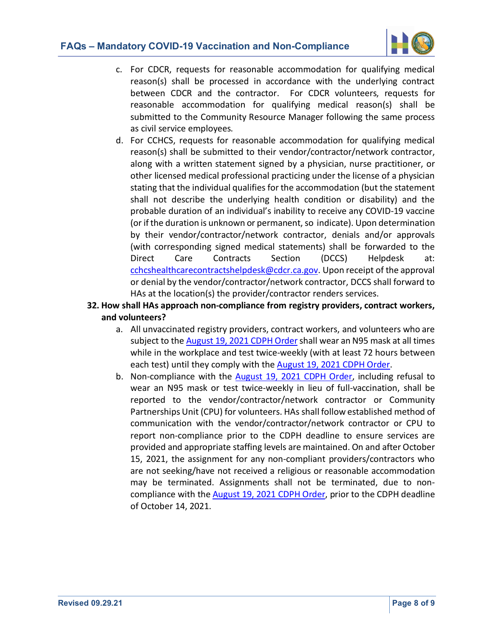

- c. For CDCR, requests for reasonable accommodation for qualifying medical reason(s) shall be processed in accordance with the underlying contract between CDCR and the contractor.For CDCR volunteers, requests for reasonable accommodation for qualifying medical reason(s) shall be submitted to the Community Resource Manager following the same process as civil service employees.
- d. For CCHCS, requests for reasonable accommodation for qualifying medical reason(s) shall be submitted to their vendor/contractor/network contractor, along with a written statement signed by a physician, nurse practitioner, or other licensed medical professional practicing under the license of a physician stating that the individual qualifies for the accommodation (but the statement shall not describe the underlying health condition or disability) and the probable duration of an individual's inability to receive any COVID-19 vaccine (or if the duration is unknown or permanent, so indicate). Upon determination by their vendor/contractor/network contractor, denials and/or approvals (with corresponding signed medical statements) shall be forwarded to the Direct Care Contracts Section (DCCS) Helpdesk at: [cchcshealthcarecontractshelpdesk@cdcr.ca.gov.](mailto:cchcshealthcarecontractshelpdesk@cdcr.ca.gov) Upon receipt of the approval or denial by the vendor/contractor/network contractor, DCCS shall forward to HAs at the location(s) the provider/contractor renders services.
- **32. How shall HAs approach non-compliance from registry providers, contract workers, and volunteers?**
	- a. All unvaccinated registry providers, contract workers, and volunteers who are subject to the [August 19, 2021 CDPH Order](https://www.cdph.ca.gov/Programs/CID/DCDC/Pages/COVID-19/Order-of-the-State-Public-Health-Officer-Correctional-Facilities-and-Detention-Centers-Health-Care-Worker-Vaccination-Order.aspx) shall wear an N95 mask at all times while in the workplace and test twice-weekly (with at least 72 hours between each test) until they comply with th[e August 19, 2021 CDPH Order.](https://www.cdph.ca.gov/Programs/CID/DCDC/Pages/COVID-19/Order-of-the-State-Public-Health-Officer-Correctional-Facilities-and-Detention-Centers-Health-Care-Worker-Vaccination-Order.aspx)
	- b. Non-compliance with the [August 19, 2021 CDPH Order,](https://www.cdph.ca.gov/Programs/CID/DCDC/Pages/COVID-19/Order-of-the-State-Public-Health-Officer-Correctional-Facilities-and-Detention-Centers-Health-Care-Worker-Vaccination-Order.aspx) including refusal to wear an N95 mask or test twice-weekly in lieu of full-vaccination, shall be reported to the vendor/contractor/network contractor or Community Partnerships Unit (CPU) for volunteers. HAs shall follow established method of communication with the vendor/contractor/network contractor or CPU to report non-compliance prior to the CDPH deadline to ensure services are provided and appropriate staffing levels are maintained. On and after October 15, 2021, the assignment for any non-compliant providers/contractors who are not seeking/have not received a religious or reasonable accommodation may be terminated. Assignments shall not be terminated, due to noncompliance with the [August 19, 2021 CDPH Order,](https://www.cdph.ca.gov/Programs/CID/DCDC/Pages/COVID-19/Order-of-the-State-Public-Health-Officer-Correctional-Facilities-and-Detention-Centers-Health-Care-Worker-Vaccination-Order.aspx) prior to the CDPH deadline of October 14, 2021.